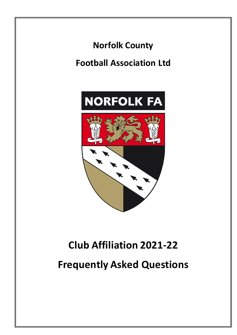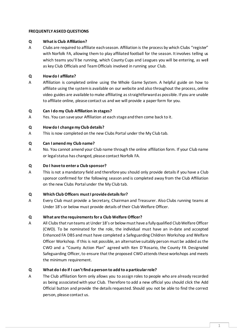# **FREQUENTLY ASKED QUESTIONS**

## **Q What is Club Affiliation?**

A Clubs are required to affiliate each season. Affiliation is the process by which Clubs "register" with Norfolk FA, allowing them to play affiliated football for the season. It involves telling us which teams you'll be running, which County Cups and Leagues you will be entering, as well as key Club Officials and Team Officials involved in running your Club.

# **Q How do I affiliate?**

A Affiliation is completed online using the Whole Game System. A helpful guide on how to affiliate using the system is available on our website and also throughout the process, online video guides are available to make affiliating as straightforward as possible. If you are unable to affiliate online, please contact us and we will provide a paper form for you.

#### **Q Can I do my Club Affiliation in stages?**

A Yes. You can save your Affiliation at each stage and then come back to it.

### **Q How do I change my Club details?**

A This is now completed on the new Clubs Portal under the My Club tab.

### **Q Can I amend my Club name?**

A No. You cannot amend your Club name through the online affiliation form. If your Club name or legal status has changed, please contact Norfolk FA.

### **Q Do I have to enter a Club sponsor?**

A This is not a mandatory field and therefore you should only provide details if you have a Club sponsor confirmed for the following season and is completed away from the Club Affiliation on the new Clubs Portal under the My Club tab.

#### **Q Which Club Officers must I provide details for?**

A Every Club must provide a Secretary, Chairman and Treasurer. Also Clubs running teams at Under 18's or below must provide details of their Club Welfare Officer.

#### **Q What are the requirements for a Club Welfare Officer?**

A All Clubs that run teams at Under 18's or below must have a fully qualified Club Welfare Officer (CWO). To be nominated for the role, the individual must have an in-date and accepted Enhanced FA DBS and must have completed a Safeguarding Children Workshop and Welfare Officer Workshop. If this is not possible, an alternative suitably person must be added as the CWO and a "County Action Plan" agreed with Ken D'Rosario, the County FA Designated Safeguarding Officer, to ensure that the proposed CWO attends these workshops and meets the minimum requirement.

# **Q What do I do if I can't find a person to add to a particular role?**

A The Club affiliation form only allows you to assign roles to people who are already recorded as being associated with your Club. Therefore to add a new official you should click the Add Official button and provide the details requested. Should you not be able to find the correct person, please contact us.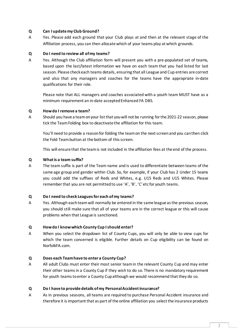# **Q Can I update my Club Ground?**

A Yes. Please add each ground that your Club plays at and then at the relevant stage of the Affiliation process, you can then allocate which of your teams play at which grounds.

## **Q Do I need to review all of my teams?**

A Yes. Although the Club affiliation form will present you with a pre-populated set of teams, based upon the last/latest information we have on each team that you had listed for last season. Please check each teams details, ensuring that all League and Cup entries are correct and also that any managers and coaches for the teams have the appropriate in-date qualifications for their role.

Please note that ALL managers and coaches associated with a youth team MUST have as a minimum requirement an in-date accepted Enhanced FA DBS.

### **Q How do I remove a team?**

A Should you have a team on your list that you will not be running for the 2021-22 season, please tick the Team Folding box to deactivate the affiliation for this team.

You'll need to provide a reason for folding the team on the next screen and you can then click the Fold Team button at the bottom of this screen.

This will ensure that the team is not included in the affiliation fees at the end of the process.

### **Q What is a team suffix?**

A The team suffix is part of the Team name and is used to differentiate between teams of the same age group and gender within Club. So, for example, if your Club has 2 Under 15 teams you could add the suffixes of Reds and Whites, e.g. U15 Reds and U15 Whites. Please remember that you are not permitted to use 'A', 'B', 'C' etc for youth teams.

# **Q Do I need to check Leagues for each of my teams?**

A Yes. Although each team will normally be entered in the same league as the previous season, you should still make sure that all of your teams are in the correct league or this will cause problems when that League is sanctioned.

# **Q How do I know which County Cup I should enter?**

A When you select the dropdown list of County Cups, you will only be able to view cups for which the team concerned is eligible. Further details on Cup eligibility can be found on NorfolkFA.com.

#### **Q Does each Team have to enter a County Cup?**

A All adult Clubs must enter their most senior team in the relevant County Cup and may enter their other teams in a County Cup if they wish to do so. There is no mandatory requirement for youth teams to enter a County Cup although we would recommend that they do so.

#### **Q Do I have to provide details of my Personal Accident insurance?**

A As in previous seasons, all teams are required to purchase Personal Accident insurance and therefore it is important that as part of the online affiliation you select the insurance products